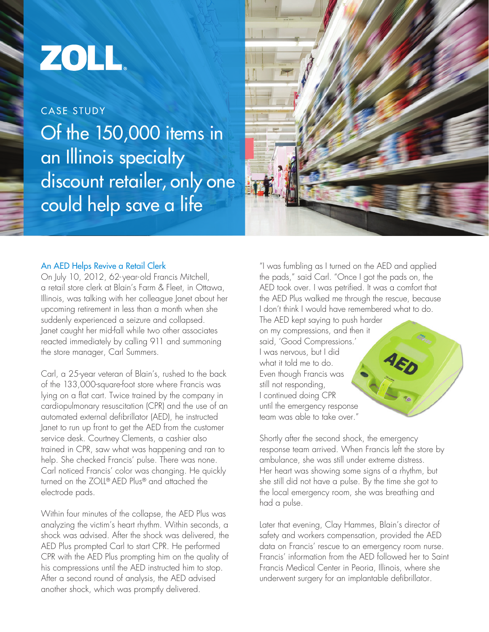## ZOLL.

CASE STUDY Of the 150,000 items in an Illinois specialty discount retailer, only one could help save a life



## An AED Helps Revive a Retail Clerk

On July 10, 2012, 62- year-old Francis Mitchell, a retail store clerk at Blain's Farm & Fleet, in Ottawa, Illinois, was talking with her colleague Janet about her upcoming retirement in less than a month when she suddenly experienced a seizure and collapsed. Janet caught her mid-fall while two other associates reacted immediately by calling 911 and summoning the store manager, Carl Summers.

Carl, a 25-year veteran of Blain's, rushed to the back of the 133,000-square-foot store where Francis was lying on a flat cart. Twice trained by the company in cardiopulmonary resuscitation (CPR) and the use of an automated external defibrillator (AED), he instructed Janet to run up front to get the AED from the customer service desk. Courtney Clements, a cashier also trained in CPR, saw what was happening and ran to help. She checked Francis' pulse. There was none. Carl noticed Francis' color was changing. He quickly turned on the ZOLL® AED Plus® and attached the electrode pads.

Within four minutes of the collapse, the AED Plus was analyzing the victim's heart rhythm. Within seconds, a shock was advised. After the shock was delivered, the AED Plus prompted Carl to start CPR. He performed CPR with the AED Plus prompting him on the quality of his compressions until the AED instructed him to stop. After a second round of analysis, the AED advised another shock, which was promptly delivered.

"I was fumbling as I turned on the AED and applied the pads," said Carl. "Once I got the pads on, the AED took over. I was petrified. It was a comfort that the AED Plus walked me through the rescue, because I don't think I would have remembered what to do.

The AED kept saying to push harder on my compressions, and then it said, 'Good Compressions.' I was nervous, but I did what it told me to do. Even though Francis was still not responding, I continued doing CPR until the emergency response team was able to take over."

Shortly after the second shock, the emergency response team arrived. When Francis left the store by ambulance, she was still under extreme distress. Her heart was showing some signs of a rhythm, but she still did not have a pulse. By the time she got to the local emergency room, she was breathing and had a pulse.

Later that evening, Clay Hammes, Blain's director of safety and workers compensation, provided the AED data on Francis' rescue to an emergency room nurse. Francis' information from the AED followed her to Saint Francis Medical Center in Peoria, Illinois, where she underwent surgery for an implantable defibrillator.